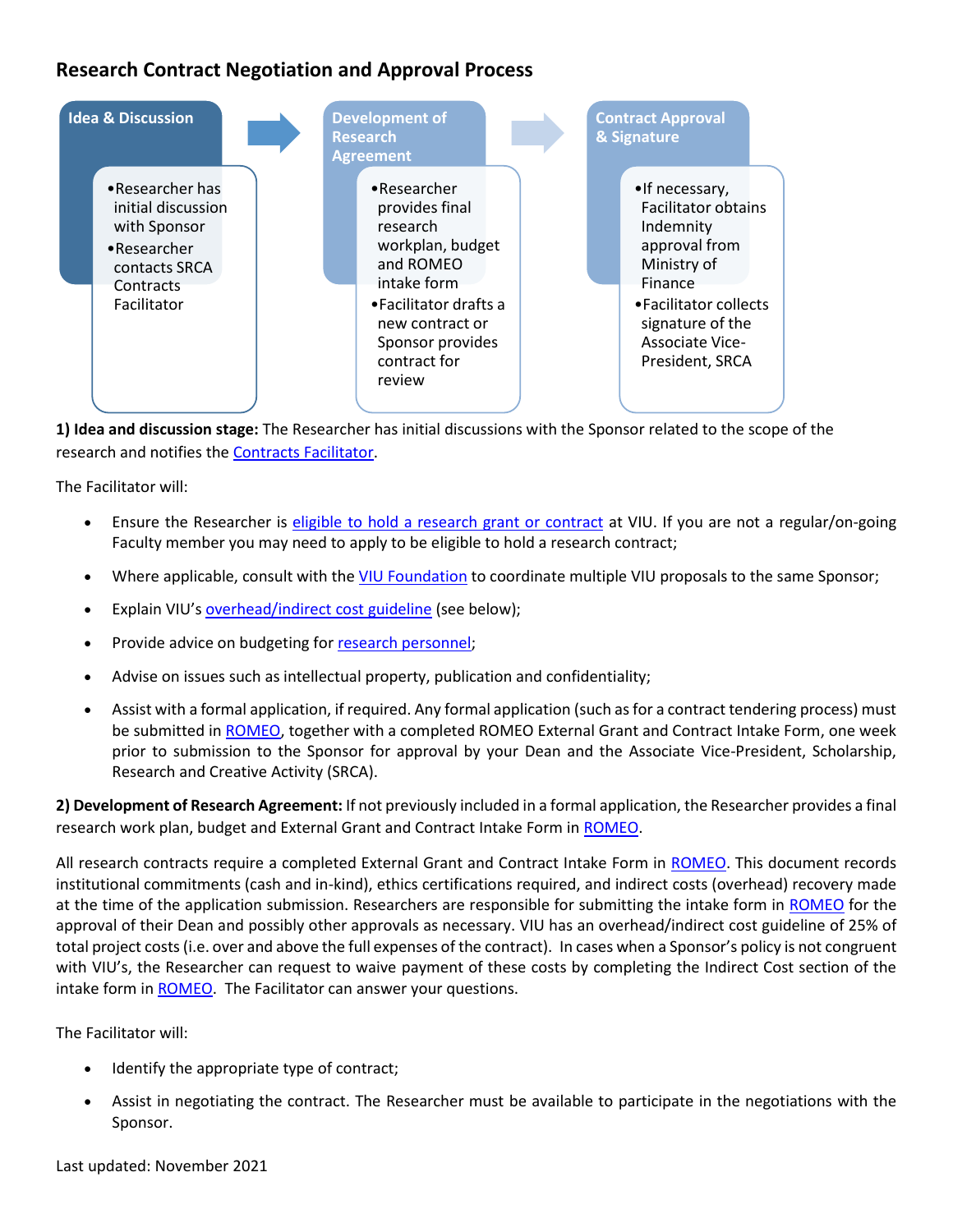## **Research Contract Negotiation and Approval Process**



**1) Idea and discussion stage:** The Researcher has initial discussions with the Sponsor related to the scope of the research and notifies the [Contracts Facilitator.](https://research.viu.ca/contact-us)

The Facilitator will:

- Ensure the Researcher is [eligible to hold a research grant or contract](https://research.viu.ca/sites/default/files/eligibility_to_hold_a_research_grant_guidelines.pdf) at VIU. If you are not a regular/on-going Faculty member you may need to apply to be eligible to hold a research contract;
- Where applicable, consult with th[e VIU Foundation](https://adm.viu.ca/advancement/viu-foundation) to coordinate multiple VIU proposals to the same Sponsor;
- Explain VIU's [overhead/indirect](https://research.viu.ca/sites/default/files/indirect-costs-recovery-and-distribution-2020.pdf) cost guideline (see below);
- Provide advice on budgeting for [research personnel;](https://research.viu.ca/personnel)
- Advise on issues such as intellectual property, publication and confidentiality;
- Assist with a formal application, if required. Any formal application (such as for a contract tendering process) must be submitted in [ROMEO,](https://research.viu.ca/romeo) together with a completed ROMEO External Grant and Contract Intake Form, one week prior to submission to the Sponsor for approval by your Dean and the Associate Vice-President, Scholarship, Research and Creative Activity (SRCA).

**2) Development of Research Agreement:** If not previously included in a formal application, the Researcher provides a final research work plan, budget and External Grant and Contract Intake Form in [ROMEO.](https://research.viu.ca/romeo)

All research contracts require a completed External Grant and Contract Intake Form in [ROMEO.](https://research.viu.ca/romeo) This document records institutional commitments (cash and in-kind), ethics certifications required, and indirect costs (overhead) recovery made at the time of the application submission. Researchers are responsible for submitting the intake form in [ROMEO](https://research.viu.ca/romeo) for the approval of their Dean and possibly other approvals as necessary. VIU has an overhead/indirect cost guideline of 25% of total project costs(i.e. over and above the full expenses of the contract). In cases when a Sponsor's policy is not congruent with VIU's, the Researcher can request to waive payment of these costs by completing the Indirect Cost section of the intake form in [ROMEO.](https://research.viu.ca/romeo) The Facilitator can answer your questions.

The Facilitator will:

- Identify the appropriate type of contract;
- Assist in negotiating the contract. The Researcher must be available to participate in the negotiations with the Sponsor.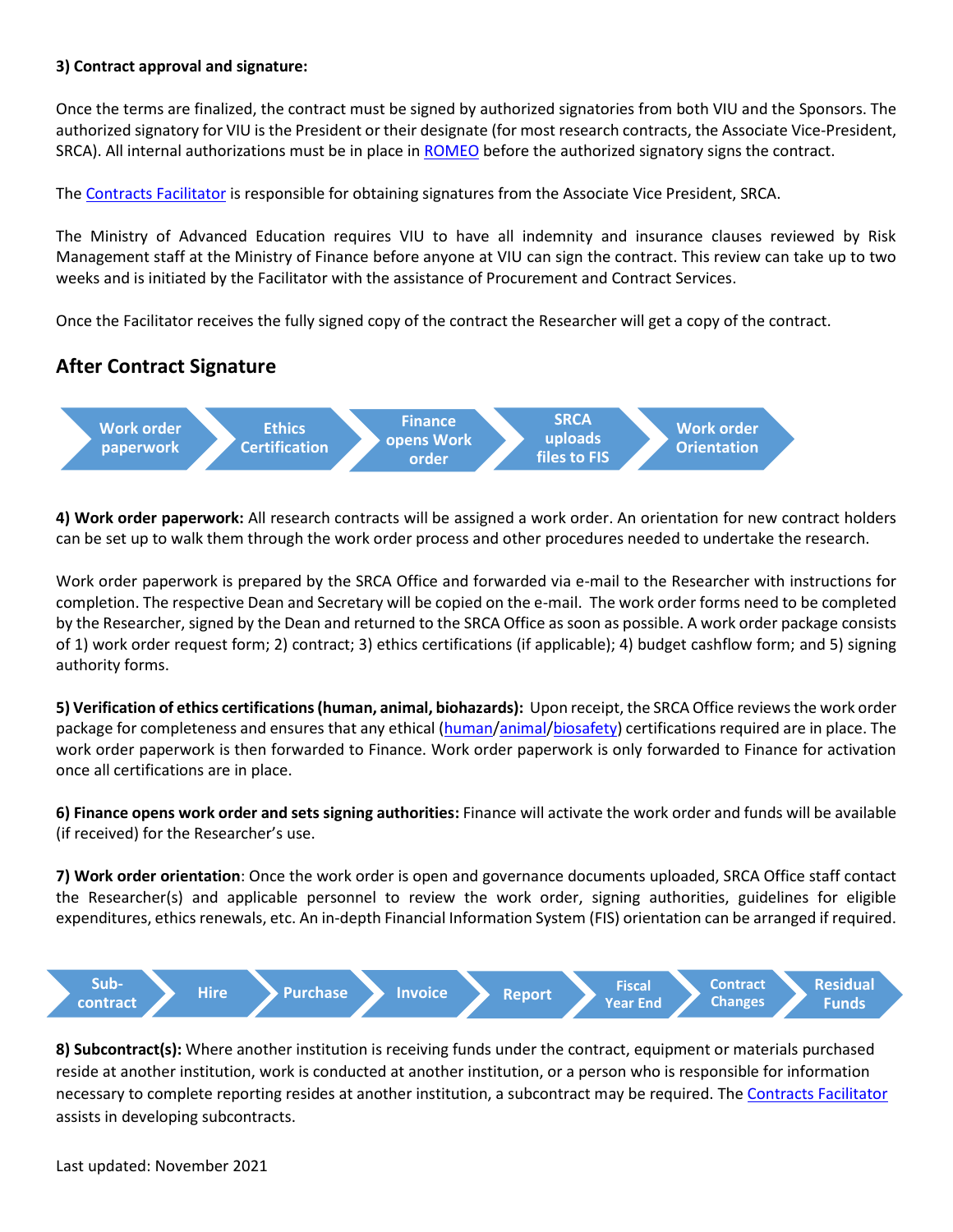## **3) Contract approval and signature:**

Once the terms are finalized, the contract must be signed by authorized signatories from both VIU and the Sponsors. The authorized signatory for VIU is the President or their designate (for most research contracts, the Associate Vice-President, SRCA). All internal authorizations must be in place i[n ROMEO](https://research.viu.ca/romeo) before the authorized signatory signs the contract.

The [Contracts Facilitator](https://research.viu.ca/contact-us) is responsible for obtaining signatures from the Associate Vice President, SRCA.

The Ministry of Advanced Education requires VIU to have all indemnity and insurance clauses reviewed by Risk Management staff at the Ministry of Finance before anyone at VIU can sign the contract. This review can take up to two weeks and is initiated by the Facilitator with the assistance of Procurement and Contract Services.

Once the Facilitator receives the fully signed copy of the contract the Researcher will get a copy of the contract.

## **After Contract Signature**



**4) Work order paperwork:** All research contracts will be assigned a work order. An orientation for new contract holders can be set up to walk them through the work order process and other procedures needed to undertake the research.

Work order paperwork is prepared by the SRCA Office and forwarded via e-mail to the Researcher with instructions for completion. The respective Dean and Secretary will be copied on the e-mail. The work order forms need to be completed by the Researcher, signed by the Dean and returned to the SRCA Office as soon as possible. A work order package consists of 1) work order request form; 2) contract; 3) ethics certifications (if applicable); 4) budget cashflow form; and 5) signing authority forms.

**5) Verification of ethics certifications (human, animal, biohazards):** Upon receipt, the SRCA Office reviews the work order package for completeness and ensures that any ethical [\(human/](http://research.viu.ca/research-ethics-board)[animal](https://research.viu.ca/animal-care)[/biosafety\)](https://adm.viu.ca/health-and-safety/biosafety) certifications required are in place. The work order paperwork is then forwarded to Finance. Work order paperwork is only forwarded to Finance for activation once all certifications are in place.

**6) Finance opens work order and sets signing authorities:** Finance will activate the work order and funds will be available (if received) for the Researcher's use.

**7) Work order orientation**: Once the work order is open and governance documents uploaded, SRCA Office staff contact the Researcher(s) and applicable personnel to review the work order, signing authorities, guidelines for eligible expenditures, ethics renewals, etc. An in-depth Financial Information System (FIS) orientation can be arranged if required.



**8) Subcontract(s):** Where another institution is receiving funds under the contract, equipment or materials purchased reside at another institution, work is conducted at another institution, or a person who is responsible for information necessary to complete reporting resides at another institution, a subcontract may be required. The [Contracts Facilitator](https://research.viu.ca/contact-us) assists in developing subcontracts.

Last updated: November 2021